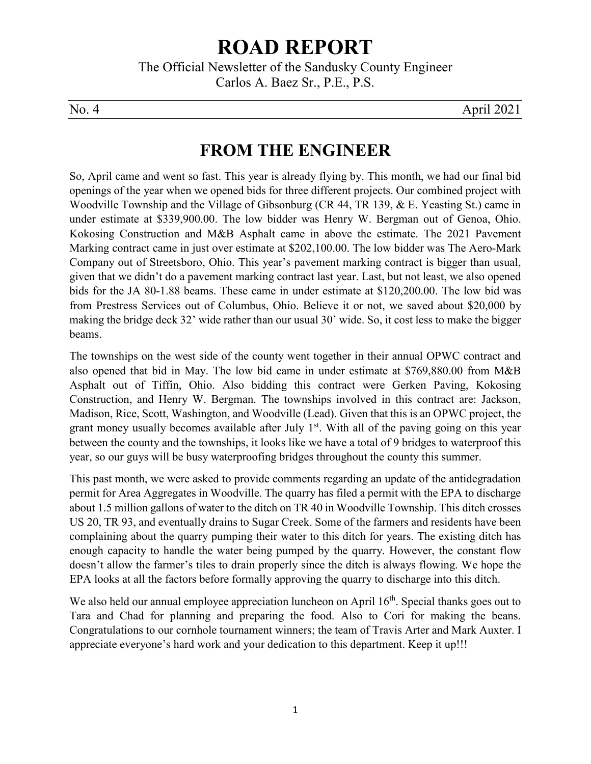# **ROAD REPORT**

The Official Newsletter of the Sandusky County Engineer Carlos A. Baez Sr., P.E., P.S.

No. 4 April 2021

#### **FROM THE ENGINEER**

So, April came and went so fast. This year is already flying by. This month, we had our final bid openings of the year when we opened bids for three different projects. Our combined project with Woodville Township and the Village of Gibsonburg (CR 44, TR 139, & E. Yeasting St.) came in under estimate at \$339,900.00. The low bidder was Henry W. Bergman out of Genoa, Ohio. Kokosing Construction and M&B Asphalt came in above the estimate. The 2021 Pavement Marking contract came in just over estimate at \$202,100.00. The low bidder was The Aero-Mark Company out of Streetsboro, Ohio. This year's pavement marking contract is bigger than usual, given that we didn't do a pavement marking contract last year. Last, but not least, we also opened bids for the JA 80-1.88 beams. These came in under estimate at \$120,200.00. The low bid was from Prestress Services out of Columbus, Ohio. Believe it or not, we saved about \$20,000 by making the bridge deck 32' wide rather than our usual 30' wide. So, it cost less to make the bigger beams.

The townships on the west side of the county went together in their annual OPWC contract and also opened that bid in May. The low bid came in under estimate at \$769,880.00 from M&B Asphalt out of Tiffin, Ohio. Also bidding this contract were Gerken Paving, Kokosing Construction, and Henry W. Bergman. The townships involved in this contract are: Jackson, Madison, Rice, Scott, Washington, and Woodville (Lead). Given that this is an OPWC project, the grant money usually becomes available after July  $1<sup>st</sup>$ . With all of the paving going on this year between the county and the townships, it looks like we have a total of 9 bridges to waterproof this year, so our guys will be busy waterproofing bridges throughout the county this summer.

This past month, we were asked to provide comments regarding an update of the antidegradation permit for Area Aggregates in Woodville. The quarry has filed a permit with the EPA to discharge about 1.5 million gallons of water to the ditch on TR 40 in Woodville Township. This ditch crosses US 20, TR 93, and eventually drains to Sugar Creek. Some of the farmers and residents have been complaining about the quarry pumping their water to this ditch for years. The existing ditch has enough capacity to handle the water being pumped by the quarry. However, the constant flow doesn't allow the farmer's tiles to drain properly since the ditch is always flowing. We hope the EPA looks at all the factors before formally approving the quarry to discharge into this ditch.

We also held our annual employee appreciation luncheon on April  $16<sup>th</sup>$ . Special thanks goes out to Tara and Chad for planning and preparing the food. Also to Cori for making the beans. Congratulations to our cornhole tournament winners; the team of Travis Arter and Mark Auxter. I appreciate everyone's hard work and your dedication to this department. Keep it up!!!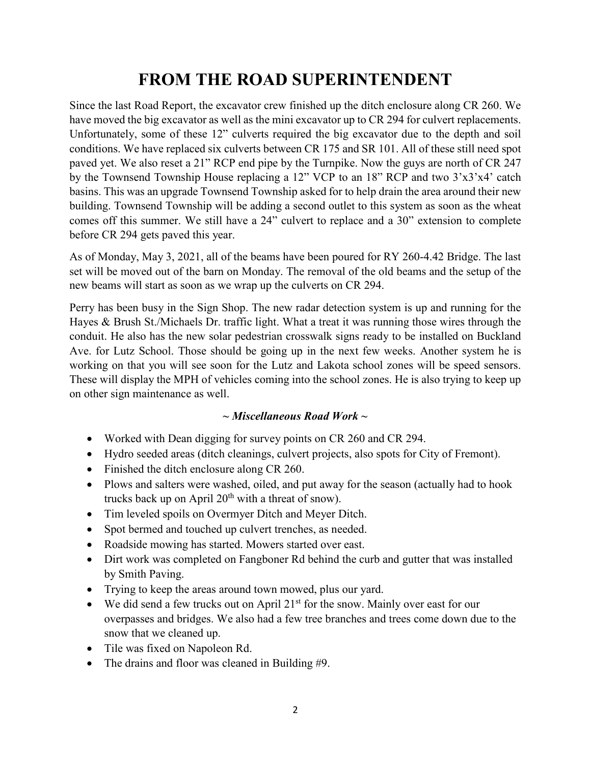## **FROM THE ROAD SUPERINTENDENT**

Since the last Road Report, the excavator crew finished up the ditch enclosure along CR 260. We have moved the big excavator as well as the mini excavator up to CR 294 for culvert replacements. Unfortunately, some of these 12" culverts required the big excavator due to the depth and soil conditions. We have replaced six culverts between CR 175 and SR 101. All of these still need spot paved yet. We also reset a 21" RCP end pipe by the Turnpike. Now the guys are north of CR 247 by the Townsend Township House replacing a 12" VCP to an 18" RCP and two 3'x3'x4' catch basins. This was an upgrade Townsend Township asked for to help drain the area around their new building. Townsend Township will be adding a second outlet to this system as soon as the wheat comes off this summer. We still have a 24" culvert to replace and a 30" extension to complete before CR 294 gets paved this year.

As of Monday, May 3, 2021, all of the beams have been poured for RY 260-4.42 Bridge. The last set will be moved out of the barn on Monday. The removal of the old beams and the setup of the new beams will start as soon as we wrap up the culverts on CR 294.

Perry has been busy in the Sign Shop. The new radar detection system is up and running for the Hayes & Brush St./Michaels Dr. traffic light. What a treat it was running those wires through the conduit. He also has the new solar pedestrian crosswalk signs ready to be installed on Buckland Ave. for Lutz School. Those should be going up in the next few weeks. Another system he is working on that you will see soon for the Lutz and Lakota school zones will be speed sensors. These will display the MPH of vehicles coming into the school zones. He is also trying to keep up on other sign maintenance as well.

#### *~ Miscellaneous Road Work ~*

- Worked with Dean digging for survey points on CR 260 and CR 294.
- Hydro seeded areas (ditch cleanings, culvert projects, also spots for City of Fremont).
- Finished the ditch enclosure along CR 260.
- Plows and salters were washed, oiled, and put away for the season (actually had to hook trucks back up on April  $20<sup>th</sup>$  with a threat of snow).
- Tim leveled spoils on Overmyer Ditch and Meyer Ditch.
- Spot bermed and touched up culvert trenches, as needed.
- Roadside mowing has started. Mowers started over east.
- Dirt work was completed on Fangboner Rd behind the curb and gutter that was installed by Smith Paving.
- Trying to keep the areas around town mowed, plus our yard.
- We did send a few trucks out on April  $21<sup>st</sup>$  for the snow. Mainly over east for our overpasses and bridges. We also had a few tree branches and trees come down due to the snow that we cleaned up.
- Tile was fixed on Napoleon Rd.
- The drains and floor was cleaned in Building #9.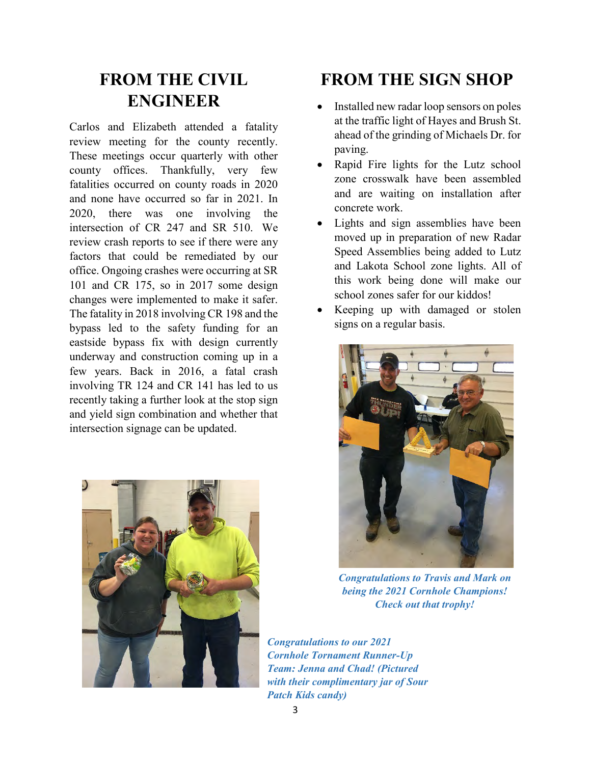### **FROM THE CIVIL ENGINEER**

Carlos and Elizabeth attended a fatality review meeting for the county recently. These meetings occur quarterly with other county offices. Thankfully, very few fatalities occurred on county roads in 2020 and none have occurred so far in 2021. In 2020, there was one involving the intersection of CR 247 and SR 510. We review crash reports to see if there were any factors that could be remediated by our office. Ongoing crashes were occurring at SR 101 and CR 175, so in 2017 some design changes were implemented to make it safer. The fatality in 2018 involving CR 198 and the bypass led to the safety funding for an eastside bypass fix with design currently underway and construction coming up in a few years. Back in 2016, a fatal crash involving TR 124 and CR 141 has led to us recently taking a further look at the stop sign and yield sign combination and whether that intersection signage can be updated.



### **FROM THE SIGN SHOP**

- Installed new radar loop sensors on poles at the traffic light of Hayes and Brush St. ahead of the grinding of Michaels Dr. for paving.
- Rapid Fire lights for the Lutz school zone crosswalk have been assembled and are waiting on installation after concrete work.
- Lights and sign assemblies have been moved up in preparation of new Radar Speed Assemblies being added to Lutz and Lakota School zone lights. All of this work being done will make our school zones safer for our kiddos!
- Keeping up with damaged or stolen signs on a regular basis.



*Congratulations to Travis and Mark on being the 2021 Cornhole Champions! Check out that trophy!*

*Congratulations to our 2021 Cornhole Tornament Runner-Up Team: Jenna and Chad! (Pictured with their complimentary jar of Sour Patch Kids candy)*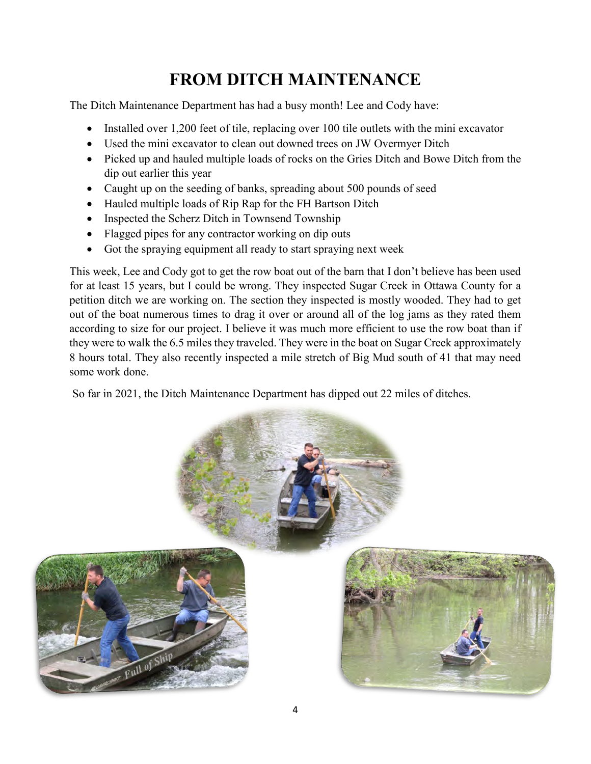## **FROM DITCH MAINTENANCE**

The Ditch Maintenance Department has had a busy month! Lee and Cody have:

- Installed over 1,200 feet of tile, replacing over 100 tile outlets with the mini excavator
- Used the mini excavator to clean out downed trees on JW Overmyer Ditch
- Picked up and hauled multiple loads of rocks on the Gries Ditch and Bowe Ditch from the dip out earlier this year
- Caught up on the seeding of banks, spreading about 500 pounds of seed
- Hauled multiple loads of Rip Rap for the FH Bartson Ditch
- Inspected the Scherz Ditch in Townsend Township
- Flagged pipes for any contractor working on dip outs
- Got the spraying equipment all ready to start spraying next week

This week, Lee and Cody got to get the row boat out of the barn that I don't believe has been used for at least 15 years, but I could be wrong. They inspected Sugar Creek in Ottawa County for a petition ditch we are working on. The section they inspected is mostly wooded. They had to get out of the boat numerous times to drag it over or around all of the log jams as they rated them according to size for our project. I believe it was much more efficient to use the row boat than if they were to walk the 6.5 miles they traveled. They were in the boat on Sugar Creek approximately 8 hours total. They also recently inspected a mile stretch of Big Mud south of 41 that may need some work done.

So far in 2021, the Ditch Maintenance Department has dipped out 22 miles of ditches.



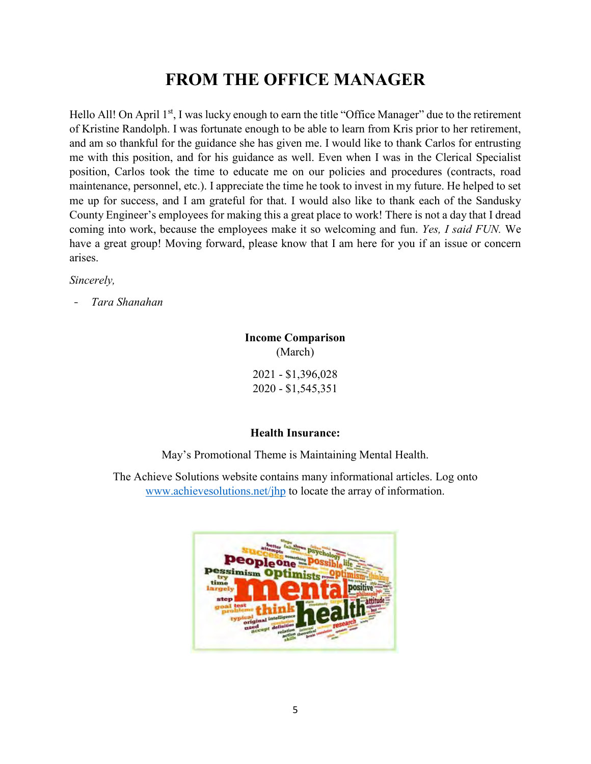## **FROM THE OFFICE MANAGER**

Hello All! On April 1<sup>st</sup>, I was lucky enough to earn the title "Office Manager" due to the retirement of Kristine Randolph. I was fortunate enough to be able to learn from Kris prior to her retirement, and am so thankful for the guidance she has given me. I would like to thank Carlos for entrusting me with this position, and for his guidance as well. Even when I was in the Clerical Specialist position, Carlos took the time to educate me on our policies and procedures (contracts, road maintenance, personnel, etc.). I appreciate the time he took to invest in my future. He helped to set me up for success, and I am grateful for that. I would also like to thank each of the Sandusky County Engineer's employees for making this a great place to work! There is not a day that I dread coming into work, because the employees make it so welcoming and fun. *Yes, I said FUN.* We have a great group! Moving forward, please know that I am here for you if an issue or concern arises.

*Sincerely,* 

- *Tara Shanahan* 

**Income Comparison** (March) 2021 - \$1,396,028

2020 - \$1,545,351

#### **Health Insurance:**

May's Promotional Theme is Maintaining Mental Health.

The Achieve Solutions website contains many informational articles. Log onto [www.achievesolutions.net/jhp](https://protect-us.mimecast.com/s/exX2CW60GXhPpMfxEoIZ?domain=achievesolutions.net) to locate the array of information.

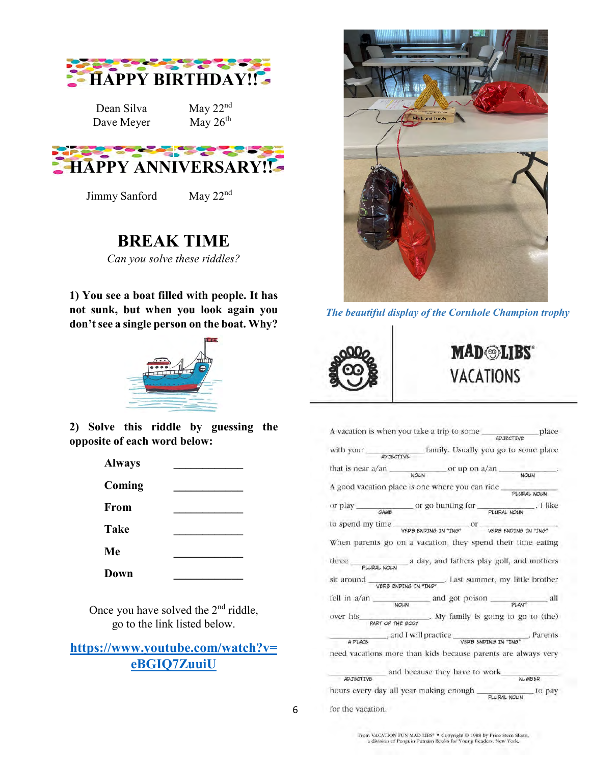

Dean Silva May 22<sup>nd</sup><br>Dave Meyer May 26<sup>th</sup> Dave Meyer



Jimmy Sanford May 22<sup>nd</sup>

#### **BREAK TIME**

*Can you solve these riddles?*

**1) You see a boat filled with people. It has not sunk, but when you look again you don't see a single person on the boat. Why?**



**2) Solve this riddle by guessing the opposite of each word below:** 

| <b>Always</b> |  |
|---------------|--|
| Coming        |  |
| From          |  |
| <b>Take</b>   |  |
| Me            |  |
| Down          |  |

Once you have solved the  $2<sup>nd</sup>$  riddle, go to the link listed below.

#### **[https://www.youtube.com/watch?v=](https://www.youtube.com/watch?v=eBGIQ7ZuuiU) [eBGIQ7ZuuiU](https://www.youtube.com/watch?v=eBGIQ7ZuuiU)**



*The beautiful display of the Cornhole Champion trophy*



# **MAD***<b>ELIBS* **VACATIONS**

|                               | A vacation is when you take a trip to some $\frac{1}{\sqrt{1-\frac{1}{c}}\sqrt{1-\frac{1}{c}}\sqrt{1-\frac{1}{c}}}}$ place |                       |
|-------------------------------|----------------------------------------------------------------------------------------------------------------------------|-----------------------|
|                               | with your <b>APJECTIVE</b> Family. Usually you go to some place                                                            |                       |
|                               |                                                                                                                            |                       |
|                               |                                                                                                                            | NOUN                  |
|                               | A good vacation place is one where you can ride PLURAL NOUN                                                                |                       |
|                               |                                                                                                                            |                       |
| or play                       | __ or go hunting for                                                                                                       | PLURAL NOUN . I like  |
| GAME                          |                                                                                                                            |                       |
|                               | to spend my time $\frac{1}{\sqrt{ERB}}$ ENDING IN "ING" $\frac{1}{\sqrt{ERB}}$ ENDING IN "ING"                             |                       |
|                               |                                                                                                                            |                       |
|                               | When parents go on a vacation, they spend their time eating                                                                |                       |
|                               |                                                                                                                            |                       |
| three                         | PLURAL NOUN a day, and fathers play golf, and mothers                                                                      |                       |
| sit around                    | $\overline{\text{VERB}}$ ENDING IN "ING" . Last summer, my little brother                                                  |                       |
| fell in $a$ /an $\frac{a}{b}$ |                                                                                                                            |                       |
| PART OF THE BODY<br>over his  |                                                                                                                            |                       |
|                               |                                                                                                                            |                       |
| A PLACE                       | $\frac{1}{\sqrt{2}}$ , and I will practice $\frac{1}{\sqrt{2}}$ is a paping in $\frac{1}{\sqrt{2}}$ . Parents              |                       |
|                               | need vacations more than kids because parents are always very                                                              |                       |
|                               | and because they have to work                                                                                              |                       |
| <b>ADJECTIVE</b>              |                                                                                                                            | <b>NUMBER</b>         |
|                               | hours every day all year making enough                                                                                     | to pay<br>PLURAL NOUN |
| for the vacation.             |                                                                                                                            |                       |

6